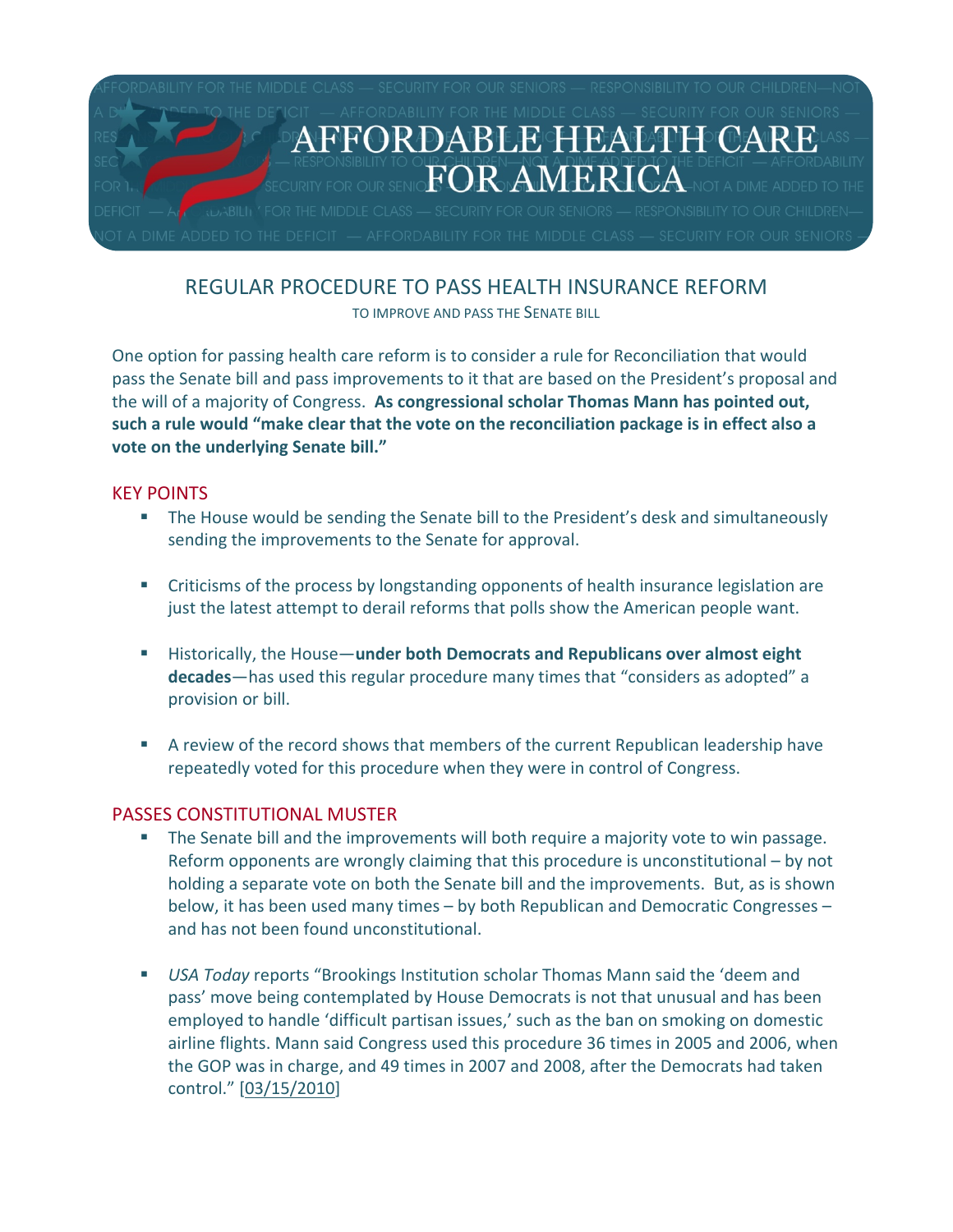

# REGULAR PROCEDURE TO PASS HEALTH INSURANCE REFORM

TO IMPROVE AND PASS THE SENATE BILL

One option for passing health care reform is to consider a rule for Reconciliation that would pass the Senate bill and pass improvements to it that are based on the President's proposal and the will of a majority of Congress. **As congressional scholar Thomas Mann has pointed out, such a rule would "make clear that the vote on the reconciliation package is in effect also a vote on the underlying Senate bill."**

### KEY POINTS

- The House would be sending the Senate bill to the President's desk and simultaneously sending the improvements to the Senate for approval.
- Criticisms of the process by longstanding opponents of health insurance legislation are just the latest attempt to derail reforms that polls show the American people want.
- Historically, the House—**under both Democrats and Republicans over almost eight decades**—has used this regular procedure many times that "considers as adopted" a provision or bill.
- A review of the record shows that members of the current Republican leadership have repeatedly voted for this procedure when they were in control of Congress.

## PASSES CONSTITUTIONAL MUSTER

- The Senate bill and the improvements will both require a majority vote to win passage. Reform opponents are wrongly claiming that this procedure is unconstitutional – by not holding a separate vote on both the Senate bill and the improvements. But, as is shown below, it has been used many times – by both Republican and Democratic Congresses – and has not been found unconstitutional.
- *USA Today* reports "Brookings Institution scholar Thomas Mann said the 'deem and pass' move being contemplated by House Democrats is not that unusual and has been employed to handle 'difficult partisan issues,' such as the ban on smoking on domestic airline flights. Mann said Congress used this procedure 36 times in 2005 and 2006, when the GOP was in charge, and 49 times in 2007 and 2008, after the Democrats had taken control." [\[03/15/2010](http://content.usatoday.com/communities/onpolitics/post/2010/03/expert-pelosi-deem-and-pass-strategy-for-health-care-is-not-unusual/1)]